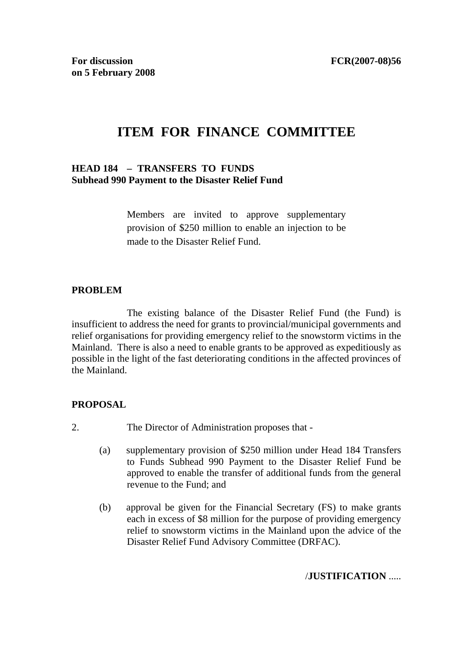# **ITEM FOR FINANCE COMMITTEE**

#### **HEAD 184 – TRANSFERS TO FUNDS Subhead 990 Payment to the Disaster Relief Fund**

Members are invited to approve supplementary provision of \$250 million to enable an injection to be made to the Disaster Relief Fund.

#### **PROBLEM**

 The existing balance of the Disaster Relief Fund (the Fund) is insufficient to address the need for grants to provincial/municipal governments and relief organisations for providing emergency relief to the snowstorm victims in the Mainland. There is also a need to enable grants to be approved as expeditiously as possible in the light of the fast deteriorating conditions in the affected provinces of the Mainland.

### **PROPOSAL**

- 2. The Director of Administration proposes that
	- (a) supplementary provision of \$250 million under Head 184 Transfers to Funds Subhead 990 Payment to the Disaster Relief Fund be approved to enable the transfer of additional funds from the general revenue to the Fund; and
	- (b) approval be given for the Financial Secretary (FS) to make grants each in excess of \$8 million for the purpose of providing emergency relief to snowstorm victims in the Mainland upon the advice of the Disaster Relief Fund Advisory Committee (DRFAC).

#### /**JUSTIFICATION** .....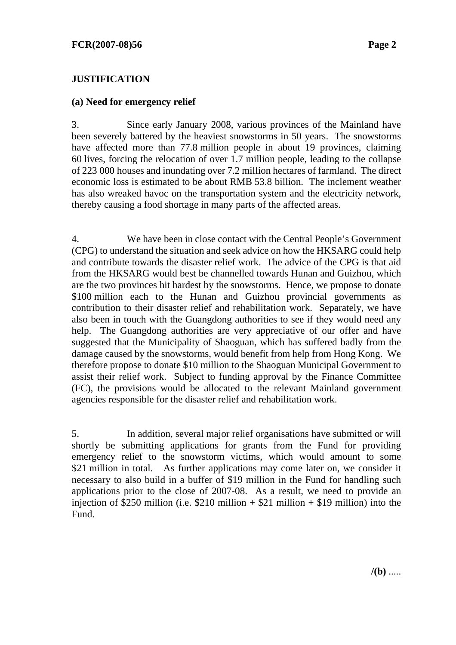## **JUSTIFICATION**

#### **(a) Need for emergency relief**

3. Since early January 2008, various provinces of the Mainland have been severely battered by the heaviest snowstorms in 50 years. The snowstorms have affected more than 77.8 million people in about 19 provinces, claiming 60 lives, forcing the relocation of over 1.7 million people, leading to the collapse of 223 000 houses and inundating over 7.2 million hectares of farmland. The direct economic loss is estimated to be about RMB 53.8 billion. The inclement weather has also wreaked havoc on the transportation system and the electricity network, thereby causing a food shortage in many parts of the affected areas.

4. We have been in close contact with the Central People's Government (CPG) to understand the situation and seek advice on how the HKSARG could help and contribute towards the disaster relief work. The advice of the CPG is that aid from the HKSARG would best be channelled towards Hunan and Guizhou, which are the two provinces hit hardest by the snowstorms. Hence, we propose to donate \$100 million each to the Hunan and Guizhou provincial governments as contribution to their disaster relief and rehabilitation work. Separately, we have also been in touch with the Guangdong authorities to see if they would need any help. The Guangdong authorities are very appreciative of our offer and have suggested that the Municipality of Shaoguan, which has suffered badly from the damage caused by the snowstorms, would benefit from help from Hong Kong. We therefore propose to donate \$10 million to the Shaoguan Municipal Government to assist their relief work. Subject to funding approval by the Finance Committee (FC), the provisions would be allocated to the relevant Mainland government agencies responsible for the disaster relief and rehabilitation work.

5. In addition, several major relief organisations have submitted or will shortly be submitting applications for grants from the Fund for providing emergency relief to the snowstorm victims, which would amount to some \$21 million in total. As further applications may come later on, we consider it necessary to also build in a buffer of \$19 million in the Fund for handling such applications prior to the close of 2007-08. As a result, we need to provide an injection of \$250 million (i.e. \$210 million + \$21 million + \$19 million) into the Fund.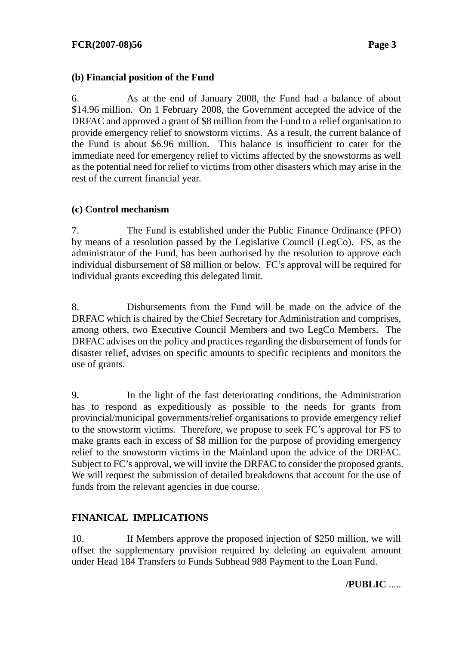# **(b) Financial position of the Fund**

6. As at the end of January 2008, the Fund had a balance of about \$14.96 million. On 1 February 2008, the Government accepted the advice of the DRFAC and approved a grant of \$8 million from the Fund to a relief organisation to provide emergency relief to snowstorm victims. As a result, the current balance of the Fund is about \$6.96 million. This balance is insufficient to cater for the immediate need for emergency relief to victims affected by the snowstorms as well as the potential need for relief to victims from other disasters which may arise in the rest of the current financial year.

# **(c) Control mechanism**

7. The Fund is established under the Public Finance Ordinance (PFO) by means of a resolution passed by the Legislative Council (LegCo). FS, as the administrator of the Fund, has been authorised by the resolution to approve each individual disbursement of \$8 million or below. FC's approval will be required for individual grants exceeding this delegated limit.

8. Disbursements from the Fund will be made on the advice of the DRFAC which is chaired by the Chief Secretary for Administration and comprises, among others, two Executive Council Members and two LegCo Members. The DRFAC advises on the policy and practices regarding the disbursement of funds for disaster relief, advises on specific amounts to specific recipients and monitors the use of grants.

9. In the light of the fast deteriorating conditions, the Administration has to respond as expeditiously as possible to the needs for grants from provincial/municipal governments/relief organisations to provide emergency relief to the snowstorm victims. Therefore, we propose to seek FC's approval for FS to make grants each in excess of \$8 million for the purpose of providing emergency relief to the snowstorm victims in the Mainland upon the advice of the DRFAC. Subject to FC's approval, we will invite the DRFAC to consider the proposed grants. We will request the submission of detailed breakdowns that account for the use of funds from the relevant agencies in due course.

# **FINANICAL IMPLICATIONS**

10. If Members approve the proposed injection of \$250 million, we will offset the supplementary provision required by deleting an equivalent amount under Head 184 Transfers to Funds Subhead 988 Payment to the Loan Fund.

**/PUBLIC** .....